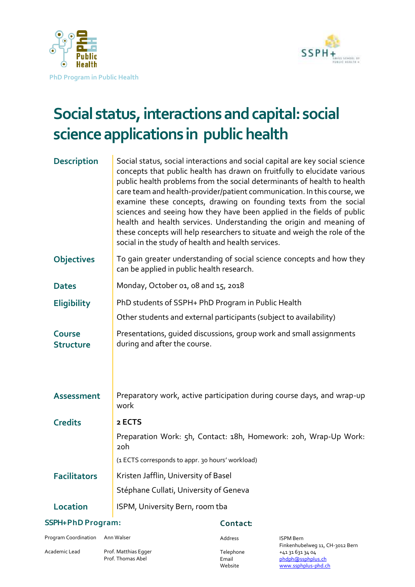



# **Social status, interactions and capital: social scienceapplications in public health**

| <b>Description</b>                | Social status, social interactions and social capital are key social science<br>concepts that public health has drawn on fruitfully to elucidate various<br>public health problems from the social determinants of health to health<br>care team and health-provider/patient communication. In this course, we<br>examine these concepts, drawing on founding texts from the social<br>sciences and seeing how they have been applied in the fields of public<br>health and health services. Understanding the origin and meaning of<br>these concepts will help researchers to situate and weigh the role of the<br>social in the study of health and health services. |  |
|-----------------------------------|-------------------------------------------------------------------------------------------------------------------------------------------------------------------------------------------------------------------------------------------------------------------------------------------------------------------------------------------------------------------------------------------------------------------------------------------------------------------------------------------------------------------------------------------------------------------------------------------------------------------------------------------------------------------------|--|
| <b>Objectives</b>                 | To gain greater understanding of social science concepts and how they<br>can be applied in public health research.                                                                                                                                                                                                                                                                                                                                                                                                                                                                                                                                                      |  |
| <b>Dates</b>                      | Monday, October 01, 08 and 15, 2018                                                                                                                                                                                                                                                                                                                                                                                                                                                                                                                                                                                                                                     |  |
| <b>Eligibility</b>                | PhD students of SSPH+ PhD Program in Public Health                                                                                                                                                                                                                                                                                                                                                                                                                                                                                                                                                                                                                      |  |
|                                   | Other students and external participants (subject to availability)                                                                                                                                                                                                                                                                                                                                                                                                                                                                                                                                                                                                      |  |
| <b>Course</b><br><b>Structure</b> | Presentations, quided discussions, group work and small assignments<br>during and after the course.                                                                                                                                                                                                                                                                                                                                                                                                                                                                                                                                                                     |  |
| <b>Assessment</b>                 | Preparatory work, active participation during course days, and wrap-up<br>work                                                                                                                                                                                                                                                                                                                                                                                                                                                                                                                                                                                          |  |
| <b>Credits</b>                    | 2 ECTS                                                                                                                                                                                                                                                                                                                                                                                                                                                                                                                                                                                                                                                                  |  |
|                                   | Preparation Work: 5h, Contact: 18h, Homework: 20h, Wrap-Up Work:<br>20h                                                                                                                                                                                                                                                                                                                                                                                                                                                                                                                                                                                                 |  |
|                                   | (1 ECTS corresponds to appr. 30 hours' workload)                                                                                                                                                                                                                                                                                                                                                                                                                                                                                                                                                                                                                        |  |
| <b>Facilitators</b>               | Kristen Jafflin, University of Basel                                                                                                                                                                                                                                                                                                                                                                                                                                                                                                                                                                                                                                    |  |
|                                   | Stéphane Cullati, University of Geneva                                                                                                                                                                                                                                                                                                                                                                                                                                                                                                                                                                                                                                  |  |
| <b>Location</b>                   | ISPM, University Bern, room tba                                                                                                                                                                                                                                                                                                                                                                                                                                                                                                                                                                                                                                         |  |

#### **SSPH+ PhD Program:**

Program Coordination Ann Walser

Academic Lead Prof. Matthias Egger

Prof. Thomas Abel

#### Contact:

Address ISPM Bern Finkenhubelweg 11, CH-3012 Bern Telephone +41 31 631 34 04 Email [phdph@ssphplus.ch](mailto:phdph@ssphplus.ch)<br>
Website www.ssphplus-phd.c www.ssphplus-phd.ch